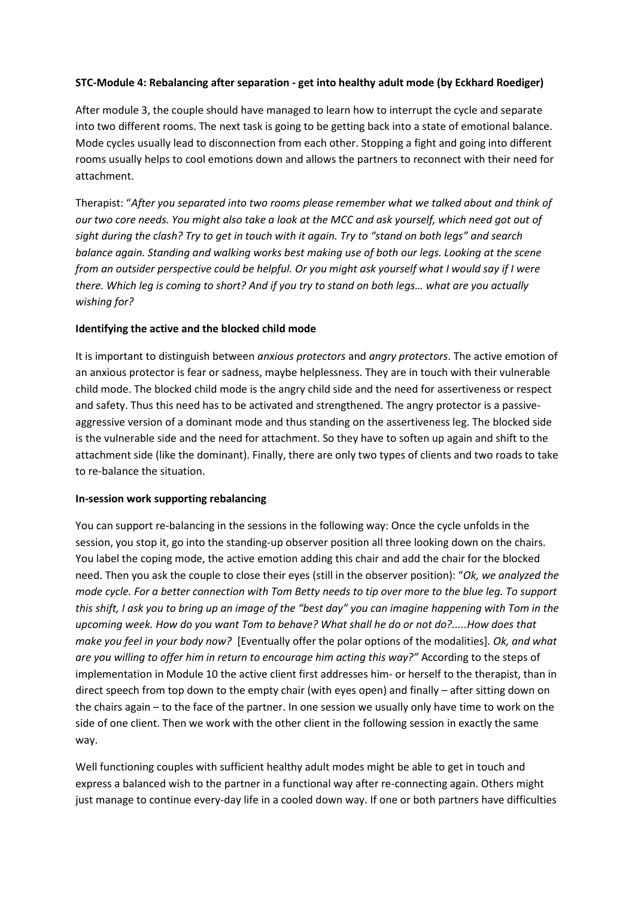## **STC-Module 4: Rebalancing after separation - get into healthy adult mode (by Eckhard Roediger)**

After module 3, the couple should have managed to learn how to interrupt the cycle and separate into two different rooms. The next task is going to be getting back into a state of emotional balance. Mode cycles usually lead to disconnection from each other. Stopping a fight and going into different rooms usually helps to cool emotions down and allows the partners to reconnect with their need for attachment.

Therapist: "*After you separated into two rooms please remember what we talked about and think of our two core needs. You might also take a look at the MCC and ask yourself, which need got out of sight during the clash? Try to get in touch with it again. Try to "stand on both legs" and search balance again. Standing and walking works best making use of both our legs. Looking at the scene from an outsider perspective could be helpful. Or you might ask yourself what I would say if I were there. Which leg is coming to short? And if you try to stand on both legs… what are you actually wishing for?*

## **Identifying the active and the blocked child mode**

It is important to distinguish between *anxious protectors* and *angry protectors*. The active emotion of an anxious protector is fear or sadness, maybe helplessness. They are in touch with their vulnerable child mode. The blocked child mode is the angry child side and the need for assertiveness or respect and safety. Thus this need has to be activated and strengthened. The angry protector is a passiveaggressive version of a dominant mode and thus standing on the assertiveness leg. The blocked side is the vulnerable side and the need for attachment. So they have to soften up again and shift to the attachment side (like the dominant). Finally, there are only two types of clients and two roads to take to re-balance the situation.

## **In-session work supporting rebalancing**

You can support re-balancing in the sessions in the following way: Once the cycle unfolds in the session, you stop it, go into the standing-up observer position all three looking down on the chairs. You label the coping mode, the active emotion adding this chair and add the chair for the blocked need. Then you ask the couple to close their eyes (still in the observer position): "*Ok, we analyzed the mode cycle. For a better connection with Tom Betty needs to tip over more to the blue leg. To support this shift, I ask you to bring up an image of the "best day" you can imagine happening with Tom in the upcoming week. How do you want Tom to behave? What shall he do or not do?.....How does that make you feel in your body now?* [Eventually offer the polar options of the modalities]. *Ok, and what are you willing to offer him in return to encourage him acting this way?"* According to the steps of implementation in Module 10 the active client first addresses him- or herself to the therapist, than in direct speech from top down to the empty chair (with eyes open) and finally – after sitting down on the chairs again – to the face of the partner. In one session we usually only have time to work on the side of one client. Then we work with the other client in the following session in exactly the same way.

Well functioning couples with sufficient healthy adult modes might be able to get in touch and express a balanced wish to the partner in a functional way after re-connecting again. Others might just manage to continue every-day life in a cooled down way. If one or both partners have difficulties